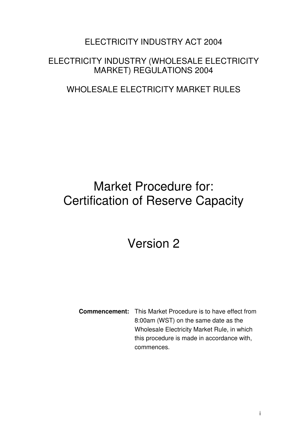# ELECTRICITY INDUSTRY ACT 2004

# ELECTRICITY INDUSTRY (WHOLESALE ELECTRICITY MARKET) REGULATIONS 2004

# WHOLESALE ELECTRICITY MARKET RULES

# Market Procedure for: Certification of Reserve Capacity

# Version 2

**Commencement:** This Market Procedure is to have effect from 8:00am (WST) on the same date as the Wholesale Electricity Market Rule, in which this procedure is made in accordance with, commences.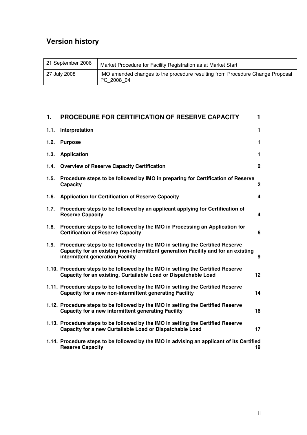# **Version history**

| 21 September 2006 | Market Procedure for Facility Registration as at Market Start                               |
|-------------------|---------------------------------------------------------------------------------------------|
| 27 July 2008      | IMO amended changes to the procedure resulting from Procedure Change Proposal<br>PC 2008 04 |

| 1.   | <b>PROCEDURE FOR CERTIFICATION OF RESERVE CAPACITY</b>                                                                                                                                              | 1                       |
|------|-----------------------------------------------------------------------------------------------------------------------------------------------------------------------------------------------------|-------------------------|
| 1.1. | Interpretation                                                                                                                                                                                      | $\mathbf{1}$            |
| 1.2. | <b>Purpose</b>                                                                                                                                                                                      | $\mathbf{1}$            |
| 1.3. | <b>Application</b>                                                                                                                                                                                  | $\mathbf{1}$            |
| 1.4. | <b>Overview of Reserve Capacity Certification</b>                                                                                                                                                   | $\mathbf{2}$            |
| 1.5. | Procedure steps to be followed by IMO in preparing for Certification of Reserve<br>Capacity                                                                                                         | $\boldsymbol{2}$        |
| 1.6. | <b>Application for Certification of Reserve Capacity</b>                                                                                                                                            | 4                       |
| 1.7. | Procedure steps to be followed by an applicant applying for Certification of<br><b>Reserve Capacity</b>                                                                                             | $\overline{\mathbf{4}}$ |
| 1.8. | Procedure steps to be followed by the IMO in Processing an Application for<br><b>Certification of Reserve Capacity</b>                                                                              | 6                       |
| 1.9. | Procedure steps to be followed by the IMO in setting the Certified Reserve<br>Capacity for an existing non-intermittent generation Facility and for an existing<br>intermittent generation Facility | 9                       |
|      | 1.10. Procedure steps to be followed by the IMO in setting the Certified Reserve<br>Capacity for an existing, Curtailable Load or Dispatchable Load                                                 | 12 <sup>2</sup>         |
|      | 1.11. Procedure steps to be followed by the IMO in setting the Certified Reserve<br>Capacity for a new non-intermittent generating Facility                                                         | 14                      |
|      | 1.12. Procedure steps to be followed by the IMO in setting the Certified Reserve<br>Capacity for a new intermittent generating Facility                                                             | 16                      |
|      | 1.13. Procedure steps to be followed by the IMO in setting the Certified Reserve<br>Capacity for a new Curtailable Load or Dispatchable Load                                                        | 17                      |
|      | 1.14. Procedure steps to be followed by the IMO in advising an applicant of its Certified<br><b>Reserve Capacity</b><br>19                                                                          |                         |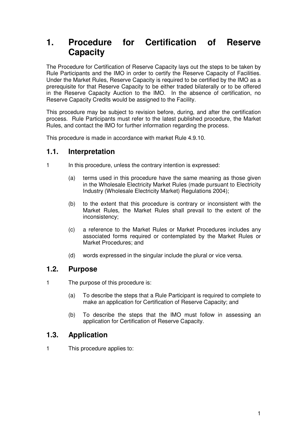# **1. Procedure for Certification of Reserve Capacity**

The Procedure for Certification of Reserve Capacity lays out the steps to be taken by Rule Participants and the IMO in order to certify the Reserve Capacity of Facilities. Under the Market Rules, Reserve Capacity is required to be certified by the IMO as a prerequisite for that Reserve Capacity to be either traded bilaterally or to be offered in the Reserve Capacity Auction to the IMO. In the absence of certification, no Reserve Capacity Credits would be assigned to the Facility.

This procedure may be subject to revision before, during, and after the certification process. Rule Participants must refer to the latest published procedure, the Market Rules, and contact the IMO for further information regarding the process.

This procedure is made in accordance with market Rule 4.9.10.

# **1.1. Interpretation**

- 1 In this procedure, unless the contrary intention is expressed:
	- (a) terms used in this procedure have the same meaning as those given in the Wholesale Electricity Market Rules (made pursuant to Electricity Industry (Wholesale Electricity Market) Regulations 2004);
	- (b) to the extent that this procedure is contrary or inconsistent with the Market Rules, the Market Rules shall prevail to the extent of the inconsistency;
	- (c) a reference to the Market Rules or Market Procedures includes any associated forms required or contemplated by the Market Rules or Market Procedures; and
	- (d) words expressed in the singular include the plural or vice versa.

# **1.2. Purpose**

1 The purpose of this procedure is:

- (a) To describe the steps that a Rule Participant is required to complete to make an application for Certification of Reserve Capacity; and
- (b) To describe the steps that the IMO must follow in assessing an application for Certification of Reserve Capacity.

# **1.3. Application**

1 This procedure applies to: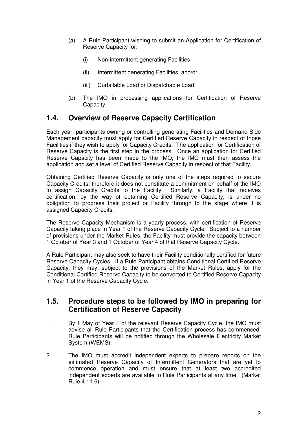- (a) A Rule Participant wishing to submit an Application for Certification of Reserve Capacity for:
	- (i) Non-intermittent generating Facilities
	- (ii) Intermittent generating Facilities; and/or
	- (iii) Curtailable Load or Dispatchable Load;
- (b) The IMO in processing applications for Certification of Reserve Capacity.

# **1.4. Overview of Reserve Capacity Certification**

Each year, participants owning or controlling generating Facilities and Demand Side Management capacity must apply for Certified Reserve Capacity in respect of those Facilities if they wish to apply for Capacity Credits. The application for Certification of Reserve Capacity is the first step in the process. Once an application for Certified Reserve Capacity has been made to the IMO, the IMO must then assess the application and set a level of Certified Reserve Capacity in respect of that Facility.

Obtaining Certified Reserve Capacity is only one of the steps required to secure Capacity Credits, therefore it does not constitute a commitment on behalf of the IMO to assign Capacity Credits to the Facility. Similarly, a Facility that receives certification, by the way of obtaining Certified Reserve Capacity, is under no obligation to progress their project or Facility through to the stage where it is assigned Capacity Credits.

The Reserve Capacity Mechanism is a yearly process, with certification of Reserve Capacity taking place in Year 1 of the Reserve Capacity Cycle. Subject to a number of provisions under the Market Rules, the Facility must provide the capacity between 1 October of Year 3 and 1 October of Year 4 of that Reserve Capacity Cycle.

A Rule Participant may also seek to have their Facility conditionally certified for future Reserve Capacity Cycles. If a Rule Participant obtains Conditional Certified Reserve Capacity, they may, subject to the provisions of the Market Rules, apply for the Conditional Certified Reserve Capacity to be converted to Certified Reserve Capacity in Year 1 of the Reserve Capacity Cycle.

### **1.5. Procedure steps to be followed by IMO in preparing for Certification of Reserve Capacity**

- 1 By 1 May of Year 1 of the relevant Reserve Capacity Cycle, the IMO must advise all Rule Participants that the Certification process has commenced. Rule Participants will be notified through the Wholesale Electricity Market System (WEMS).
- 2 The IMO must accredit independent experts to prepare reports on the estimated Reserve Capacity of Intermittent Generators that are yet to commence operation and must ensure that at least two accredited independent experts are available to Rule Participants at any time. (Market Rule 4.11.6)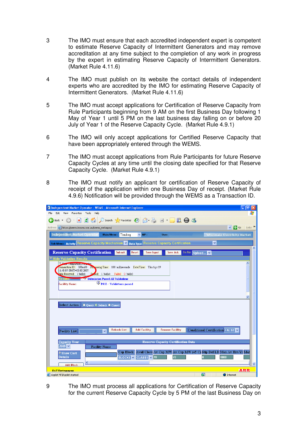- 3 The IMO must ensure that each accredited independent expert is competent to estimate Reserve Capacity of Intermittent Generators and may remove accreditation at any time subject to the completion of any work in progress by the expert in estimating Reserve Capacity of Intermittent Generators. (Market Rule 4.11.6)
- 4 The IMO must publish on its website the contact details of independent experts who are accredited by the IMO for estimating Reserve Capacity of Intermittent Generators. (Market Rule 4.11.6)
- 5 The IMO must accept applications for Certification of Reserve Capacity from Rule Participants beginning from 9 AM on the first Business Day following 1 May of Year 1 until 5 PM on the last business day falling on or before 20 July of Year 1 of the Reserve Capacity Cycle. (Market Rule 4.9.1)
- 6 The IMO will only accept applications for Certified Reserve Capacity that have been appropriately entered through the WEMS.
- 7 The IMO must accept applications from Rule Participants for future Reserve Capacity Cycles at any time until the closing date specified for that Reserve Capacity Cycle. (Market Rule 4.9.1)
- 8 The IMO must notify an applicant for certification of Reserve Capacity of receipt of the application within one Business Day of receipt. (Market Rule 4.9.6) Notification will be provided through the WEMS as a Transaction ID.

| $ \sigma$<br>Independent Market Operator - WEMS - Microsoft Internet Explorer                                                            |  |  |  |  |
|------------------------------------------------------------------------------------------------------------------------------------------|--|--|--|--|
| View Favorites Tools Help<br>Edit<br>File                                                                                                |  |  |  |  |
| 2 1 0 Search 大Favorites 2 2 图 回 1 1 1 1 1 1<br>$\vert \mathbf{x} \vert$<br>Back -                                                        |  |  |  |  |
| Links >><br>$\Rightarrow$ Go<br>$\vee$<br>Address e https://wems.imowa.com.au/wems webapps/                                              |  |  |  |  |
| Independent Market Operator<br>Main Menu: Trading<br>$\times$ MP:<br>User:<br><b>Wholesale Electricity Market</b>                        |  |  |  |  |
| <b>Sub Menu Activity Reserve Capacity Mechanism V</b> Data Type<br>$\checkmark$<br><b>Reserve Capacity Certification</b><br>۸            |  |  |  |  |
| <b>Reserve Capacity Certification</b><br>To File: Upload<br>Submit<br>Reset<br><b>Save Ack</b><br><b>Save Input</b><br>v                 |  |  |  |  |
| $\overline{\triangledown}$ Hide Validation Results                                                                                       |  |  |  |  |
| <b>Extraction State</b><br>Transaction ID: 3JBm60 Processing Time: 188 milliseconds Date/Time: Thu Apr 19                                |  |  |  |  |
| 11:48:07 GMT+08:00 2007<br>Pased: 1 bid(s) Failed: 0 bid(s)<br>Bids Received: 1 bid(s)                                                   |  |  |  |  |
| Submission Passed All Validations<br>desults: <b>All Angles</b>                                                                          |  |  |  |  |
| PASS - Validations passed<br><b>Facility Name:</b>                                                                                       |  |  |  |  |
|                                                                                                                                          |  |  |  |  |
|                                                                                                                                          |  |  |  |  |
| Select Action:<br>O Query O Submit O Cancel                                                                                              |  |  |  |  |
|                                                                                                                                          |  |  |  |  |
|                                                                                                                                          |  |  |  |  |
|                                                                                                                                          |  |  |  |  |
|                                                                                                                                          |  |  |  |  |
| <b>Add Facility</b><br><b>Remove Facility</b><br>Conditional Certification FALSE V<br><b>Refresh List</b><br><b>Facility List:</b><br>Ÿ. |  |  |  |  |
|                                                                                                                                          |  |  |  |  |
| <b>Reserve Capacity Certification Data</b><br><b>Capacity Year</b><br>$2009$ $\sim$<br><b>Facility Name</b>                              |  |  |  |  |
| Cap Block Avail Class Av Cap MW Av Cap MW (45 C) Stip Def LD Max Av Hrs/Yr Max                                                           |  |  |  |  |
| <i>▶</i> Show Cert<br><b>Details</b><br>70<br>8000<br>170<br>BLOCK1 V<br><b>CLASS1</b> v                                                 |  |  |  |  |
| $\blacktriangleleft$<br>$\overline{\mathbf{v}}$<br><b>Add Block</b>                                                                      |  |  |  |  |
| <b>ALBER</b><br><b>HAT Environment.</b>                                                                                                  |  |  |  |  |
| $\overline{\mathbf{a}}$<br>Applet MPIApplet started<br><b>O</b> Internet                                                                 |  |  |  |  |

9 The IMO must process all applications for Certification of Reserve Capacity for the current Reserve Capacity Cycle by 5 PM of the last Business Day on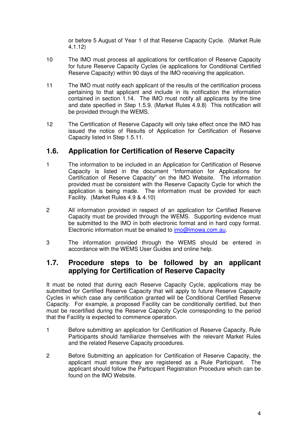or before 5 August of Year 1 of that Reserve Capacity Cycle. (Market Rule 4.1.12)

- 10 The IMO must process all applications for certification of Reserve Capacity for future Reserve Capacity Cycles (ie applications for Conditional Certified Reserve Capacity) within 90 days of the IMO receiving the application.
- 11 The IMO must notify each applicant of the results of the certification process pertaining to that applicant and include in its notification the information contained in section 1.14. The IMO must notify all applicants by the time and date specified in Step 1.5.9. (Market Rules 4.9.8) This notification will be provided through the WEMS.
- 12 The Certification of Reserve Capacity will only take effect once the IMO has issued the notice of Results of Application for Certification of Reserve Capacity listed in Step 1.5.11.

# **1.6. Application for Certification of Reserve Capacity**

- 1 The information to be included in an Application for Certification of Reserve Capacity is listed in the document "Information for Applications for Certification of Reserve Capacity" on the IMO Website. The information provided must be consistent with the Reserve Capacity Cycle for which the application is being made. The information must be provided for each Facility. (Market Rules 4.9 & 4.10)
- 2 All information provided in respect of an application for Certified Reserve Capacity must be provided through the WEMS. Supporting evidence must be submitted to the IMO in both electronic format and in hard copy format. Electronic information must be emailed to *imo*@imowa.com.au.
- 3 The information provided through the WEMS should be entered in accordance with the WEMS User Guides and online help.

# **1.7. Procedure steps to be followed by an applicant applying for Certification of Reserve Capacity**

It must be noted that during each Reserve Capacity Cycle, applications may be submitted for Certified Reserve Capacity that will apply to future Reserve Capacity Cycles in which case any certification granted will be Conditional Certified Reserve Capacity. For example, a proposed Facility can be conditionally certified, but then must be recertified during the Reserve Capacity Cycle corresponding to the period that the Facility is expected to commence operation.

- 1 Before submitting an application for Certification of Reserve Capacity, Rule Participants should familiarize themselves with the relevant Market Rules and the related Reserve Capacity procedures.
- 2 Before Submitting an application for Certification of Reserve Capacity, the applicant must ensure they are registered as a Rule Participant. The applicant should follow the Participant Registration Procedure which can be found on the IMO Website.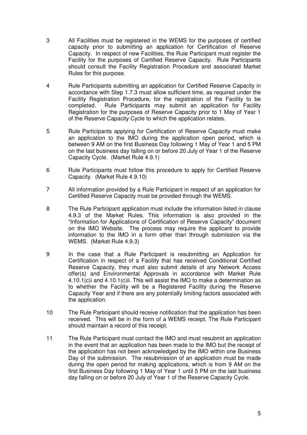- 3 All Facilities must be registered in the WEMS for the purposes of certified capacity prior to submitting an application for Certification of Reserve Capacity. In respect of new Facilities, the Rule Participant must register the Facility for the purposes of Certified Reserve Capacity. Rule Participants should consult the Facility Registration Procedure and associated Market Rules for this purpose.
- 4 Rule Participants submitting an application for Certified Reserve Capacity in accordance with Step 1.7.3 must allow sufficient time, as required under the Facility Registration Procedure, for the registration of the Facility to be completed. Rule Participants may submit an application for Facility Registration for the purposes of Reserve Capacity prior to 1 May of Year 1 of the Reserve Capacity Cycle to which the application relates.
- 5 Rule Participants applying for Certification of Reserve Capacity must make an application to the IMO during the application open period, which is between 9 AM on the first Business Day following 1 May of Year 1 and 5 PM on the last business day falling on or before 20 July of Year 1 of the Reserve Capacity Cycle. (Market Rule 4.9.1)
- 6 Rule Participants must follow this procedure to apply for Certified Reserve Capacity. (Market Rule 4.9.10)
- 7 All information provided by a Rule Participant in respect of an application for Certified Reserve Capacity must be provided through the WEMS.
- 8 The Rule Participant application must include the information listed in clause 4.9.3 of the Market Rules. This information is also provided in the "Information for Applications of Certification of Reserve Capacity" document on the IMO Website. The process may require the applicant to provide information to the IMO in a form other than through submission via the WEMS. (Market Rule 4.9.3)
- 9 In the case that a Rule Participant is resubmitting an Application for Certification in respect of a Facility that has received Conditional Certified Reserve Capacity, they must also submit details of any Network Access offer(s) and Environmental Approvals in accordance with Market Rule 4.10.1(c)i and 4.10.1(c)ii. This will assist the IMO to make a determination as to whether the Facility will be a Registered Facility during the Reserve Capacity Year and if there are any potentially limiting factors associated with the application.
- 10 The Rule Participant should receive notification that the application has been received. This will be in the form of a WEMS receipt. The Rule Participant should maintain a record of this receipt.
- 11 The Rule Participant must contact the IMO and must resubmit an application in the event that an application has been made to the IMO but the receipt of the application has not been acknowledged by the IMO within one Business Day of the submission. The resubmission of an application must be made during the open period for making applications, which is from 9 AM on the first Business Day following 1 May of Year 1 until 5 PM on the last business day falling on or before 20 July of Year 1 of the Reserve Capacity Cycle.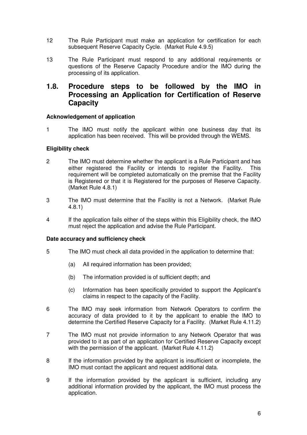- 12 The Rule Participant must make an application for certification for each subsequent Reserve Capacity Cycle. (Market Rule 4.9.5)
- 13 The Rule Participant must respond to any additional requirements or questions of the Reserve Capacity Procedure and/or the IMO during the processing of its application.

# **1.8. Procedure steps to be followed by the IMO in Processing an Application for Certification of Reserve Capacity**

#### **Acknowledgement of application**

1 The IMO must notify the applicant within one business day that its application has been received. This will be provided through the WEMS.

#### **Eligibility check**

- 2 The IMO must determine whether the applicant is a Rule Participant and has either registered the Facility or intends to register the Facility. This requirement will be completed automatically on the premise that the Facility is Registered or that it is Registered for the purposes of Reserve Capacity. (Market Rule 4.8.1)
- 3 The IMO must determine that the Facility is not a Network. (Market Rule 4.8.1)
- 4 If the application fails either of the steps within this Eligibility check, the IMO must reject the application and advise the Rule Participant.

#### **Date accuracy and sufficiency check**

- 5 The IMO must check all data provided in the application to determine that:
	- (a) All required information has been provided;
	- (b) The information provided is of sufficient depth; and
	- (c) Information has been specifically provided to support the Applicant's claims in respect to the capacity of the Facility.
- 6 The IMO may seek information from Network Operators to confirm the accuracy of data provided to it by the applicant to enable the IMO to determine the Certified Reserve Capacity for a Facility. (Market Rule 4.11.2)
- 7 The IMO must not provide information to any Network Operator that was provided to it as part of an application for Certified Reserve Capacity except with the permission of the applicant. (Market Rule 4.11.2)
- 8 If the information provided by the applicant is insufficient or incomplete, the IMO must contact the applicant and request additional data.
- 9 If the information provided by the applicant is sufficient, including any additional information provided by the applicant, the IMO must process the application.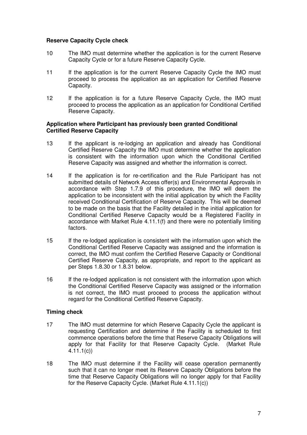#### **Reserve Capacity Cycle check**

- 10 The IMO must determine whether the application is for the current Reserve Capacity Cycle or for a future Reserve Capacity Cycle.
- 11 If the application is for the current Reserve Capacity Cycle the IMO must proceed to process the application as an application for Certified Reserve Capacity.
- 12 If the application is for a future Reserve Capacity Cycle, the IMO must proceed to process the application as an application for Conditional Certified Reserve Capacity.

#### **Application where Participant has previously been granted Conditional Certified Reserve Capacity**

- 13 If the applicant is re-lodging an application and already has Conditional Certified Reserve Capacity the IMO must determine whether the application is consistent with the information upon which the Conditional Certified Reserve Capacity was assigned and whether the information is correct.
- 14 If the application is for re-certification and the Rule Participant has not submitted details of Network Access offer(s) and Environmental Approvals in accordance with Step 1.7.9 of this procedure, the IMO will deem the application to be inconsistent with the initial application by which the Facility received Conditional Certification of Reserve Capacity. This will be deemed to be made on the basis that the Facility detailed in the initial application for Conditional Certified Reserve Capacity would be a Registered Facility in accordance with Market Rule 4.11.1(f) and there were no potentially limiting factors.
- 15 If the re-lodged application is consistent with the information upon which the Conditional Certified Reserve Capacity was assigned and the information is correct, the IMO must confirm the Certified Reserve Capacity or Conditional Certified Reserve Capacity, as appropriate, and report to the applicant as per Steps 1.8.30 or 1.8.31 below.
- 16 If the re-lodged application is not consistent with the information upon which the Conditional Certified Reserve Capacity was assigned or the information is not correct, the IMO must proceed to process the application without regard for the Conditional Certified Reserve Capacity.

#### **Timing check**

- 17 The IMO must determine for which Reserve Capacity Cycle the applicant is requesting Certification and determine if the Facility is scheduled to first commence operations before the time that Reserve Capacity Obligations will apply for that Facility for that Reserve Capacity Cycle. (Market Rule 4.11.1(c))
- 18 The IMO must determine if the Facility will cease operation permanently such that it can no longer meet its Reserve Capacity Obligations before the time that Reserve Capacity Obligations will no longer apply for that Facility for the Reserve Capacity Cycle. (Market Rule 4.11.1(c))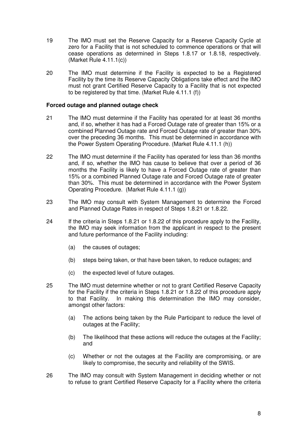- 19 The IMO must set the Reserve Capacity for a Reserve Capacity Cycle at zero for a Facility that is not scheduled to commence operations or that will cease operations as determined in Steps 1.8.17 or 1.8.18, respectively.  $(Market$  Rule 4.11.1 $(c)$ )
- 20 The IMO must determine if the Facility is expected to be a Registered Facility by the time its Reserve Capacity Obligations take effect and the IMO must not grant Certified Reserve Capacity to a Facility that is not expected to be registered by that time. (Market Rule 4.11.1 (f))

#### **Forced outage and planned outage check**

- 21 The IMO must determine if the Facility has operated for at least 36 months and, if so, whether it has had a Forced Outage rate of greater than 15% or a combined Planned Outage rate and Forced Outage rate of greater than 30% over the preceding 36 months. This must be determined in accordance with the Power System Operating Procedure. (Market Rule 4.11.1 (h))
- 22 The IMO must determine if the Facility has operated for less than 36 months and, if so, whether the IMO has cause to believe that over a period of 36 months the Facility is likely to have a Forced Outage rate of greater than 15% or a combined Planned Outage rate and Forced Outage rate of greater than 30%. This must be determined in accordance with the Power System Operating Procedure. (Market Rule 4.11.1 (g))
- 23 The IMO may consult with System Management to determine the Forced and Planned Outage Rates in respect of Steps 1.8.21 or 1.8.22.
- 24 If the criteria in Steps 1.8.21 or 1.8.22 of this procedure apply to the Facility, the IMO may seek information from the applicant in respect to the present and future performance of the Facility including:
	- (a) the causes of outages;
	- (b) steps being taken, or that have been taken, to reduce outages; and
	- (c) the expected level of future outages.
- 25 The IMO must determine whether or not to grant Certified Reserve Capacity for the Facility if the criteria in Steps 1.8.21 or 1.8.22 of this procedure apply to that Facility. In making this determination the IMO may consider, amongst other factors:
	- (a) The actions being taken by the Rule Participant to reduce the level of outages at the Facility;
	- (b) The likelihood that these actions will reduce the outages at the Facility; and
	- (c) Whether or not the outages at the Facility are compromising, or are likely to compromise, the security and reliability of the SWIS.
- 26 The IMO may consult with System Management in deciding whether or not to refuse to grant Certified Reserve Capacity for a Facility where the criteria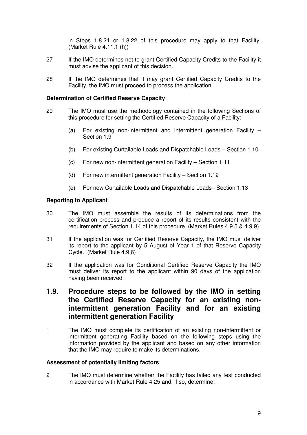in Steps 1.8.21 or 1.8.22 of this procedure may apply to that Facility. (Market Rule 4.11.1 (h))

- 27 If the IMO determines not to grant Certified Capacity Credits to the Facility it must advise the applicant of this decision.
- 28 If the IMO determines that it may grant Certified Capacity Credits to the Facility, the IMO must proceed to process the application.

#### **Determination of Certified Reserve Capacity**

- 29 The IMO must use the methodology contained in the following Sections of this procedure for setting the Certified Reserve Capacity of a Facility:
	- (a) For existing non-intermittent and intermittent generation Facility Section 1.9
	- (b) For existing Curtailable Loads and Dispatchable Loads Section 1.10
	- (c) For new non-intermittent generation Facility Section 1.11
	- (d) For new intermittent generation Facility Section 1.12
	- (e) For new Curtailable Loads and Dispatchable Loads– Section 1.13

#### **Reporting to Applicant**

- 30 The IMO must assemble the results of its determinations from the certification process and produce a report of its results consistent with the requirements of Section 1.14 of this procedure. (Market Rules 4.9.5 & 4.9.9)
- 31 If the application was for Certified Reserve Capacity, the IMO must deliver its report to the applicant by 5 August of Year 1 of that Reserve Capacity Cycle. (Market Rule 4.9.6)
- 32 If the application was for Conditional Certified Reserve Capacity the IMO must deliver its report to the applicant within 90 days of the application having been received.

# **1.9. Procedure steps to be followed by the IMO in setting the Certified Reserve Capacity for an existing nonintermittent generation Facility and for an existing intermittent generation Facility**

1 The IMO must complete its certification of an existing non-intermittent or intermittent generating Facility based on the following steps using the information provided by the applicant and based on any other information that the IMO may require to make its determinations.

#### **Assessment of potentially limiting factors**

2 The IMO must determine whether the Facility has failed any test conducted in accordance with Market Rule 4.25 and, if so, determine: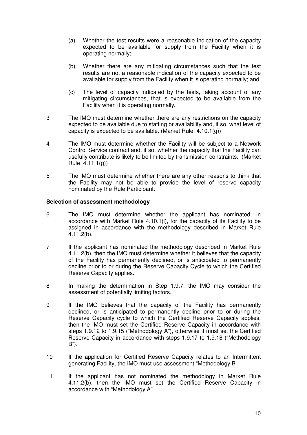- (a) Whether the test results were a reasonable indication of the capacity expected to be available for supply from the Facility when it is operating normally;
- (b) Whether there are any mitigating circumstances such that the test results are not a reasonable indication of the capacity expected to be available for supply from the Facility when it is operating normally; and
- (c) The level of capacity indicated by the tests, taking account of any mitigating circumstances, that is expected to be available from the Facility when it is operating normally**.**
- 3 The IMO must determine whether there are any restrictions on the capacity expected to be available due to staffing or availability and, if so, what level of capacity is expected to be available. (Market Rule  $(4.10.1(q))$ )
- 4 The IMO must determine whether the Facility will be subject to a Network Control Service contract and, if so, whether the capacity that the Facility can usefully contribute is likely to be limited by transmission constraints. (Market Rule 4.11.1(g))
- 5 The IMO must determine whether there are any other reasons to think that the Facility may not be able to provide the level of reserve capacity nominated by the Rule Participant.

#### **Selection of assessment methodology**

- 6 The IMO must determine whether the applicant has nominated, in accordance with Market Rule 4.10.1(i), for the capacity of its Facility to be assigned in accordance with the methodology described in Market Rule 4.11.2(b).
- 7 If the applicant has nominated the methodology described in Market Rule 4.11.2(b), then the IMO must determine whether it believes that the capacity of the Facility has permanently declined, or is anticipated to permanently decline prior to or during the Reserve Capacity Cycle to which the Certified Reserve Capacity applies.
- 8 In making the determination in Step 1.9.7, the IMO may consider the assessment of potentially limiting factors.
- 9 If the IMO believes that the capacity of the Facility has permanently declined, or is anticipated to permanently decline prior to or during the Reserve Capacity cycle to which the Certified Reserve Capacity applies, then the IMO must set the Certified Reserve Capacity in accordance with steps 1.9.12 to 1.9.15 ("Methodology A"), otherwise it must set the Certified Reserve Capacity in accordance with steps 1.9.17 to 1.9.18 ("Methodology B").
- 10 If the application for Certified Reserve Capacity relates to an Intermittent generating Facility, the IMO must use assessment "Methodology B".
- 11 If the applicant has not nominated the methodology in Market Rule 4.11.2(b), then the IMO must set the Certified Reserve Capacity in accordance with "Methodology A".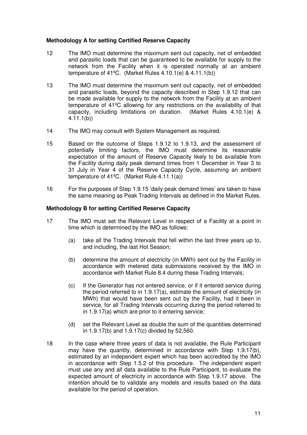#### **Methodology A for setting Certified Reserve Capacity**

- 12 The IMO must determine the maximum sent out capacity, net of embedded and parasitic loads that can be guaranteed to be available for supply to the network from the Facility when it is operated normally at an ambient temperature of  $41^{\circ}$ C. (Market Rules 4.10.1(e) & 4.11.1(b))
- 13 The IMO must determine the maximum sent out capacity, net of embedded and parasitic loads, beyond the capacity described in Step 1.9.12 that can be made available for supply to the network from the Facility at an ambient temperature of 41ºC allowing for any restrictions on the availability of that capacity, including limitations on duration. (Market Rules 4.10.1(e) & 4.11.1(b))
- 14 The IMO may consult with System Management as required.
- 15 Based on the outcome of Steps 1.9.12 to 1.9.13, and the assessment of potentially limiting factors, the IMO must determine its reasonable expectation of the amount of Reserve Capacity likely to be available from the Facility during daily peak demand times from 1 December in Year 3 to 31 July in Year 4 of the Reserve Capacity Cycle, assuming an ambient temperature of 41ºC. (Market Rule 4.11.1(a))
- 16 For the purposes of Step 1.9.15 'daily peak demand times' are taken to have the same meaning as Peak Trading Intervals as defined in the Market Rules.

#### **Methodology B for setting Certified Reserve Capacity**

- 17 The IMO must set the Relevant Level in respect of a Facility at a point in time which is determined by the IMO as follows:
	- (a) take all the Trading Intervals that fell within the last three years up to, and including, the last Hot Season;
	- (b) determine the amount of electricity (in MWh) sent out by the Facility in accordance with metered data submissions received by the IMO in accordance with Market Rule 8.4 during these Trading Intervals;
	- (c) If the Generator has not entered service, or if it entered service during the period referred to in 1.9.17(a), estimate the amount of electricity (in MWh) that would have been sent out by the Facility, had it been in service, for all Trading Intervals occurring during the period referred to in 1.9.17(a) which are prior to it entering service;
	- (d) set the Relevant Level as double the sum of the quantities determined in 1.9.17(b) and 1.9.17(c) divided by 52,560.
- 18 In the case where three years of data is not available, the Rule Participant may have the quantity, determined in accordance with Step 1.9.17(b), estimated by an independent expert which has been accredited by the IMO in accordance with Step 1.5.2 of this procedure. The independent expert must use any and all data available to the Rule Participant, to evaluate the expected amount of electricity in accordance with Step 1.9.17 above. The intention should be to validate any models and results based on the data available for the period of operation.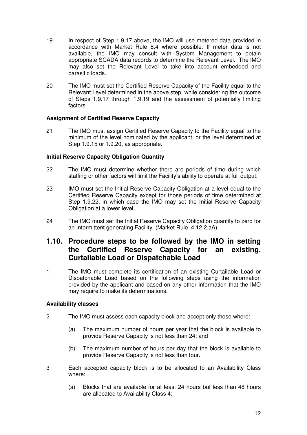- 19 In respect of Step 1.9.17 above, the IMO will use metered data provided in accordance with Market Rule 8.4 where possible. If meter data is not available, the IMO may consult with System Management to obtain appropriate SCADA data records to determine the Relevant Level. The IMO may also set the Relevant Level to take into account embedded and parasitic loads.
- 20 The IMO must set the Certified Reserve Capacity of the Facility equal to the Relevant Level determined in the above step, while considering the outcome of Steps 1.9.17 through 1.9.19 and the assessment of potentially limiting factors.

#### **Assignment of Certified Reserve Capacity**

21 The IMO must assign Certified Reserve Capacity to the Facility equal to the minimum of the level nominated by the applicant, or the level determined at Step 1.9.15 or 1.9.20, as appropriate.

#### **Initial Reserve Capacity Obligation Quantity**

- 22 The IMO must determine whether there are periods of time during which staffing or other factors will limit the Facility's ability to operate at full output.
- 23 IMO must set the Initial Reserve Capacity Obligation at a level equal to the Certified Reserve Capacity except for those periods of time determined at Step 1.9.22, in which case the IMO may set the Initial Reserve Capacity Obligation at a lower level.
- 24 The IMO must set the Initial Reserve Capacity Obligation quantity to zero for an Intermittent generating Facility. (Market Rule 4.12.2.aA)

# **1.10. Procedure steps to be followed by the IMO in setting the Certified Reserve Capacity for an existing, Curtailable Load or Dispatchable Load**

1 The IMO must complete its certification of an existing Curtailable Load or Dispatchable Load based on the following steps using the information provided by the applicant and based on any other information that the IMO may require to make its determinations.

#### **Availability classes**

- 2 The IMO must assess each capacity block and accept only those where:
	- (a) The maximum number of hours per year that the block is available to provide Reserve Capacity is not less than 24; and
	- (b) The maximum number of hours per day that the block is available to provide Reserve Capacity is not less than four.
- 3 Each accepted capacity block is to be allocated to an Availability Class where:
	- (a) Blocks that are available for at least 24 hours but less than 48 hours are allocated to Availability Class 4;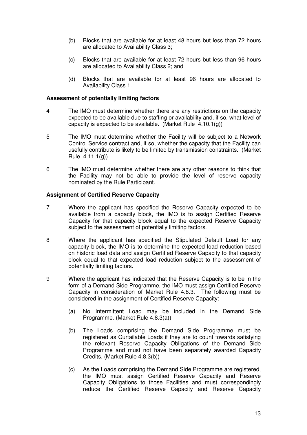- (b) Blocks that are available for at least 48 hours but less than 72 hours are allocated to Availability Class 3;
- (c) Blocks that are available for at least 72 hours but less than 96 hours are allocated to Availability Class 2; and
- (d) Blocks that are available for at least 96 hours are allocated to Availability Class 1.

#### **Assessment of potentially limiting factors**

- 4 The IMO must determine whether there are any restrictions on the capacity expected to be available due to staffing or availability and, if so, what level of capacity is expected to be available. (Market Rule 4.10.1(g))
- 5 The IMO must determine whether the Facility will be subject to a Network Control Service contract and, if so, whether the capacity that the Facility can usefully contribute is likely to be limited by transmission constraints. (Market Rule 4.11.1(g))
- 6 The IMO must determine whether there are any other reasons to think that the Facility may not be able to provide the level of reserve capacity nominated by the Rule Participant.

- 7 Where the applicant has specified the Reserve Capacity expected to be available from a capacity block, the IMO is to assign Certified Reserve Capacity for that capacity block equal to the expected Reserve Capacity subject to the assessment of potentially limiting factors.
- 8 Where the applicant has specified the Stipulated Default Load for any capacity block, the IMO is to determine the expected load reduction based on historic load data and assign Certified Reserve Capacity to that capacity block equal to that expected load reduction subject to the assessment of potentially limiting factors.
- 9 Where the applicant has indicated that the Reserve Capacity is to be in the form of a Demand Side Programme, the IMO must assign Certified Reserve Capacity in consideration of Market Rule 4.8.3. The following must be considered in the assignment of Certified Reserve Capacity:
	- (a) No Intermittent Load may be included in the Demand Side Programme. (Market Rule 4.8.3(a))
	- (b) The Loads comprising the Demand Side Programme must be registered as Curtailable Loads if they are to count towards satisfying the relevant Reserve Capacity Obligations of the Demand Side Programme and must not have been separately awarded Capacity Credits. (Market Rule 4.8.3(b))
	- (c) As the Loads comprising the Demand Side Programme are registered, the IMO must assign Certified Reserve Capacity and Reserve Capacity Obligations to those Facilities and must correspondingly reduce the Certified Reserve Capacity and Reserve Capacity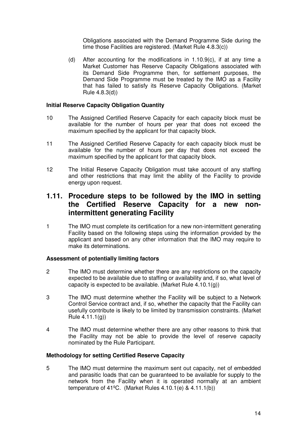Obligations associated with the Demand Programme Side during the time those Facilities are registered. (Market Rule 4.8.3(c))

(d) After accounting for the modifications in 1.10.9(c), if at any time a Market Customer has Reserve Capacity Obligations associated with its Demand Side Programme then, for settlement purposes, the Demand Side Programme must be treated by the IMO as a Facility that has failed to satisfy its Reserve Capacity Obligations. (Market Rule 4.8.3(d))

#### **Initial Reserve Capacity Obligation Quantity**

- 10 The Assigned Certified Reserve Capacity for each capacity block must be available for the number of hours per year that does not exceed the maximum specified by the applicant for that capacity block.
- 11 The Assigned Certified Reserve Capacity for each capacity block must be available for the number of hours per day that does not exceed the maximum specified by the applicant for that capacity block.
- 12 The Initial Reserve Capacity Obligation must take account of any staffing and other restrictions that may limit the ability of the Facility to provide energy upon request.

# **1.11. Procedure steps to be followed by the IMO in setting the Certified Reserve Capacity for a new nonintermittent generating Facility**

1 The IMO must complete its certification for a new non-intermittent generating Facility based on the following steps using the information provided by the applicant and based on any other information that the IMO may require to make its determinations.

#### **Assessment of potentially limiting factors**

- 2 The IMO must determine whether there are any restrictions on the capacity expected to be available due to staffing or availability and, if so, what level of capacity is expected to be available. (Market Rule 4.10.1(g))
- 3 The IMO must determine whether the Facility will be subject to a Network Control Service contract and, if so, whether the capacity that the Facility can usefully contribute is likely to be limited by transmission constraints. (Market Rule 4.11.1(g))
- 4 The IMO must determine whether there are any other reasons to think that the Facility may not be able to provide the level of reserve capacity nominated by the Rule Participant.

#### **Methodology for setting Certified Reserve Capacity**

5 The IMO must determine the maximum sent out capacity, net of embedded and parasitic loads that can be guaranteed to be available for supply to the network from the Facility when it is operated normally at an ambient temperature of 41ºC. (Market Rules 4.10.1(e) & 4.11.1(b))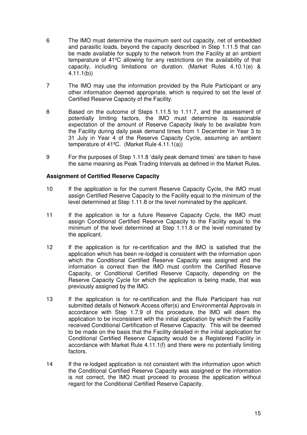- 6 The IMO must determine the maximum sent out capacity, net of embedded and parasitic loads, beyond the capacity described in Step 1.11.5 that can be made available for supply to the network from the Facility at an ambient temperature of 41ºC allowing for any restrictions on the availability of that capacity, including limitations on duration. (Market Rules 4.10.1(e) & 4.11.1(b))
- 7 The IMO may use the information provided by the Rule Participant or any other information deemed appropriate, which is required to set the level of Certified Reserve Capacity of the Facility.
- 8 Based on the outcome of Steps 1.11.5 to 1.11.7, and the assessment of potentially limiting factors, the IMO must determine its reasonable expectation of the amount of Reserve Capacity likely to be available from the Facility during daily peak demand times from 1 December in Year 3 to 31 July in Year 4 of the Reserve Capacity Cycle, assuming an ambient temperature of 41ºC. (Market Rule 4.11.1(a))
- 9 For the purposes of Step 1.11.8 'daily peak demand times' are taken to have the same meaning as Peak Trading Intervals as defined in the Market Rules.

- 10 If the application is for the current Reserve Capacity Cycle, the IMO must assign Certified Reserve Capacity to the Facility equal to the minimum of the level determined at Step 1.11.8 or the level nominated by the applicant.
- 11 If the application is for a future Reserve Capacity Cycle, the IMO must assign Conditional Certified Reserve Capacity to the Facility equal to the minimum of the level determined at Step 1.11.8 or the level nominated by the applicant.
- 12 If the application is for re-certification and the IMO is satisfied that the application which has been re-lodged is consistent with the information upon which the Conditional Certified Reserve Capacity was assigned and the information is correct then the IMO must confirm the Certified Reserve Capacity, or Conditional Certified Reserve Capacity, depending on the Reserve Capacity Cycle for which the application is being made, that was previously assigned by the IMO.
- 13 If the application is for re-certification and the Rule Participant has not submitted details of Network Access offer(s) and Environmental Approvals in accordance with Step 1.7.9 of this procedure, the IMO will deem the application to be inconsistent with the initial application by which the Facility received Conditional Certification of Reserve Capacity. This will be deemed to be made on the basis that the Facility detailed in the initial application for Conditional Certified Reserve Capacity would be a Registered Facility in accordance with Market Rule 4.11.1(f) and there were no potentially limiting factors.
- 14 If the re-lodged application is not consistent with the information upon which the Conditional Certified Reserve Capacity was assigned or the information is not correct, the IMO must proceed to process the application without regard for the Conditional Certified Reserve Capacity.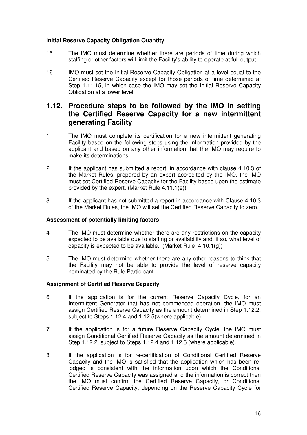#### **Initial Reserve Capacity Obligation Quantity**

- 15 The IMO must determine whether there are periods of time during which staffing or other factors will limit the Facility's ability to operate at full output.
- 16 IMO must set the Initial Reserve Capacity Obligation at a level equal to the Certified Reserve Capacity except for those periods of time determined at Step 1.11.15, in which case the IMO may set the Initial Reserve Capacity Obligation at a lower level.

# **1.12. Procedure steps to be followed by the IMO in setting the Certified Reserve Capacity for a new intermittent generating Facility**

- 1 The IMO must complete its certification for a new intermittent generating Facility based on the following steps using the information provided by the applicant and based on any other information that the IMO may require to make its determinations.
- 2 If the applicant has submitted a report, in accordance with clause 4.10.3 of the Market Rules, prepared by an expert accredited by the IMO, the IMO must set Certified Reserve Capacity for the Facility based upon the estimate provided by the expert. (Market Rule 4.11.1(e))
- 3 If the applicant has not submitted a report in accordance with Clause 4.10.3 of the Market Rules, the IMO will set the Certified Reserve Capacity to zero.

#### **Assessment of potentially limiting factors**

- 4 The IMO must determine whether there are any restrictions on the capacity expected to be available due to staffing or availability and, if so, what level of capacity is expected to be available. (Market Rule 4.10.1(g))
- 5 The IMO must determine whether there are any other reasons to think that the Facility may not be able to provide the level of reserve capacity nominated by the Rule Participant.

- 6 If the application is for the current Reserve Capacity Cycle, for an Intermittent Generator that has not commenced operation, the IMO must assign Certified Reserve Capacity as the amount determined in Step 1.12.2, subject to Steps 1.12.4 and 1.12.5(where applicable).
- 7 If the application is for a future Reserve Capacity Cycle, the IMO must assign Conditional Certified Reserve Capacity as the amount determined in Step 1.12.2, subject to Steps 1.12.4 and 1.12.5 (where applicable).
- 8 If the application is for re-certification of Conditional Certified Reserve Capacity and the IMO is satisfied that the application which has been relodged is consistent with the information upon which the Conditional Certified Reserve Capacity was assigned and the information is correct then the IMO must confirm the Certified Reserve Capacity, or Conditional Certified Reserve Capacity, depending on the Reserve Capacity Cycle for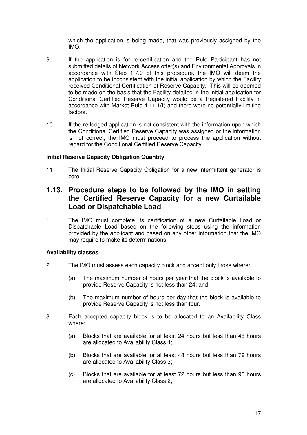which the application is being made, that was previously assigned by the IMO.

- 9 If the application is for re-certification and the Rule Participant has not submitted details of Network Access offer(s) and Environmental Approvals in accordance with Step 1.7.9 of this procedure, the IMO will deem the application to be inconsistent with the initial application by which the Facility received Conditional Certification of Reserve Capacity. This will be deemed to be made on the basis that the Facility detailed in the initial application for Conditional Certified Reserve Capacity would be a Registered Facility in accordance with Market Rule 4.11.1(f) and there were no potentially limiting factors.
- 10 If the re-lodged application is not consistent with the information upon which the Conditional Certified Reserve Capacity was assigned or the information is not correct, the IMO must proceed to process the application without regard for the Conditional Certified Reserve Capacity.

#### **Initial Reserve Capacity Obligation Quantity**

11 The Initial Reserve Capacity Obligation for a new intermittent generator is zero.

# **1.13. Procedure steps to be followed by the IMO in setting the Certified Reserve Capacity for a new Curtailable Load or Dispatchable Load**

1 The IMO must complete its certification of a new Curtailable Load or Dispatchable Load based on the following steps using the information provided by the applicant and based on any other information that the IMO may require to make its determinations.

#### **Availability classes**

- 2 The IMO must assess each capacity block and accept only those where:
	- (a) The maximum number of hours per year that the block is available to provide Reserve Capacity is not less than 24; and
	- (b) The maximum number of hours per day that the block is available to provide Reserve Capacity is not less than four.
- 3 Each accepted capacity block is to be allocated to an Availability Class where:
	- (a) Blocks that are available for at least 24 hours but less than 48 hours are allocated to Availability Class 4;
	- (b) Blocks that are available for at least 48 hours but less than 72 hours are allocated to Availability Class 3;
	- (c) Blocks that are available for at least 72 hours but less than 96 hours are allocated to Availability Class 2;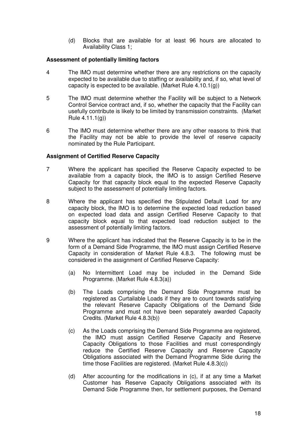(d) Blocks that are available for at least 96 hours are allocated to Availability Class 1;

#### **Assessment of potentially limiting factors**

- 4 The IMO must determine whether there are any restrictions on the capacity expected to be available due to staffing or availability and, if so, what level of capacity is expected to be available. (Market Rule 4.10.1(g))
- 5 The IMO must determine whether the Facility will be subject to a Network Control Service contract and, if so, whether the capacity that the Facility can usefully contribute is likely to be limited by transmission constraints. (Market Rule 4.11.1(g))
- 6 The IMO must determine whether there are any other reasons to think that the Facility may not be able to provide the level of reserve capacity nominated by the Rule Participant.

- 7 Where the applicant has specified the Reserve Capacity expected to be available from a capacity block, the IMO is to assign Certified Reserve Capacity for that capacity block equal to the expected Reserve Capacity subject to the assessment of potentially limiting factors.
- 8 Where the applicant has specified the Stipulated Default Load for any capacity block, the IMO is to determine the expected load reduction based on expected load data and assign Certified Reserve Capacity to that capacity block equal to that expected load reduction subject to the assessment of potentially limiting factors.
- 9 Where the applicant has indicated that the Reserve Capacity is to be in the form of a Demand Side Programme, the IMO must assign Certified Reserve Capacity in consideration of Market Rule 4.8.3. The following must be considered in the assignment of Certified Reserve Capacity:
	- (a) No Intermittent Load may be included in the Demand Side Programme. (Market Rule 4.8.3(a))
	- (b) The Loads comprising the Demand Side Programme must be registered as Curtailable Loads if they are to count towards satisfying the relevant Reserve Capacity Obligations of the Demand Side Programme and must not have been separately awarded Capacity Credits. (Market Rule 4.8.3(b))
	- (c) As the Loads comprising the Demand Side Programme are registered, the IMO must assign Certified Reserve Capacity and Reserve Capacity Obligations to those Facilities and must correspondingly reduce the Certified Reserve Capacity and Reserve Capacity Obligations associated with the Demand Programme Side during the time those Facilities are registered. (Market Rule 4.8.3(c))
	- (d) After accounting for the modifications in (c), if at any time a Market Customer has Reserve Capacity Obligations associated with its Demand Side Programme then, for settlement purposes, the Demand